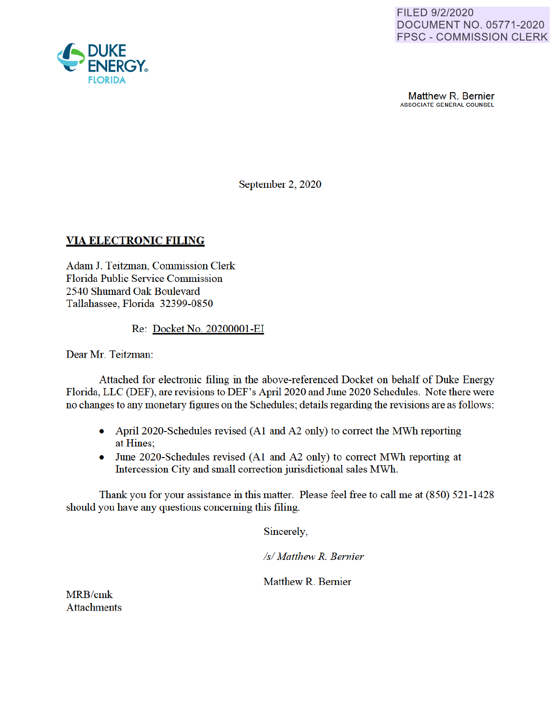

Matthew R. Bernier ASSOCIATE GENERAL COUNSEL

September 2, 2020

### **VIA ELECTRONIC FILING**

Adam J. Teitzman, Commission Clerk Florida Public Service Commission 2540 Shumard Oak Boulevard Tallahassee, Florida 32399-0850

Re: Docket No. 20200001 -EI

Dear Mr. Teitzman:

Attached for electronic filing in the above-referenced Docket on behalf of Duke Energy Florida, LLC (DEF) are revisions to DEF's April 2020 and June 2020 Schedules. Note there were no changes to any monetary figures on the Schedules; details regarding the revisions are as follows:

- April 2020-Schedules revised (A1 and A2 only) to correct the MWh reporting at Hines;
- June 2020-Schedules revised (A1 and A2 only) to correct MWh reporting at Intercession City and small correction jurisdictional sales MWh.

Thank you for your assistance in this matter. Please feel free to call me at (850) 521 -1428 should you have any questions concerning this filing.

Sincerely

*Isl Matthew R. Bernier* 

Matthew R. Bernier

MRB/cmk **Attachments** 

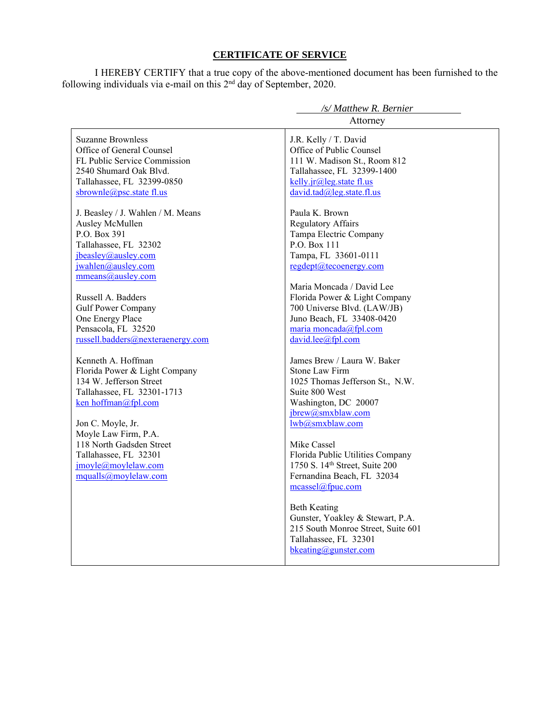### **CERTIFICATE OF SERVICE**

I HEREBY CERTIFY that a true copy of the above-mentioned document has been furnished to the following individuals via e-mail on this  $2<sup>nd</sup>$  day of September, 2020.

|                                         | /s/ Matthew R. Bernier             |
|-----------------------------------------|------------------------------------|
|                                         | Attorney                           |
| <b>Suzanne Brownless</b>                | J.R. Kelly / T. David              |
| Office of General Counsel               | Office of Public Counsel           |
| FL Public Service Commission            | 111 W. Madison St., Room 812       |
| 2540 Shumard Oak Blvd.                  | Tallahassee, FL 32399-1400         |
| Tallahassee, FL 32399-0850              | kelly.jr@leg.state fl.us           |
| sbrownle@psc.state fl.us                | david.tad@leg.state.fl.us          |
| J. Beasley / J. Wahlen / M. Means       | Paula K. Brown                     |
| Ausley McMullen                         | <b>Regulatory Affairs</b>          |
| P.O. Box 391                            | Tampa Electric Company             |
| Tallahassee, FL 32302                   | P.O. Box 111                       |
| jbeasley@ausley.com                     | Tampa, FL 33601-0111               |
| jwahlen@ausley.com                      | regdept@tecoenergy.com             |
| mmeans@ausley.com                       |                                    |
|                                         | Maria Moncada / David Lee          |
| Russell A. Badders                      | Florida Power & Light Company      |
| <b>Gulf Power Company</b>               | 700 Universe Blvd. (LAW/JB)        |
| One Energy Place<br>Pensacola, FL 32520 | Juno Beach, FL 33408-0420          |
| russell.badders@nexteraenergy.com       | maria moncada@fpl.com              |
|                                         | david.lee@fpl.com                  |
| Kenneth A. Hoffman                      | James Brew / Laura W. Baker        |
| Florida Power & Light Company           | <b>Stone Law Firm</b>              |
| 134 W. Jefferson Street                 | 1025 Thomas Jefferson St., N.W.    |
| Tallahassee, FL 32301-1713              | Suite 800 West                     |
| ken hoffman@fpl.com                     | Washington, DC 20007               |
|                                         | jbrew@smxblaw.com                  |
| Jon C. Moyle, Jr.                       | lwb@smxblaw.com                    |
| Moyle Law Firm, P.A.                    |                                    |
| 118 North Gadsden Street                | Mike Cassel                        |
| Tallahassee, FL 32301                   | Florida Public Utilities Company   |
| jmoyle@moylelaw.com                     | 1750 S. 14th Street, Suite 200     |
| mqualls@moylelaw.com                    | Fernandina Beach, FL 32034         |
|                                         | mcassel@fpuc.com                   |
|                                         | <b>Beth Keating</b>                |
|                                         | Gunster, Yoakley & Stewart, P.A.   |
|                                         | 215 South Monroe Street, Suite 601 |
|                                         | Tallahassee, FL 32301              |
|                                         | bkeating@gunster.com               |
|                                         |                                    |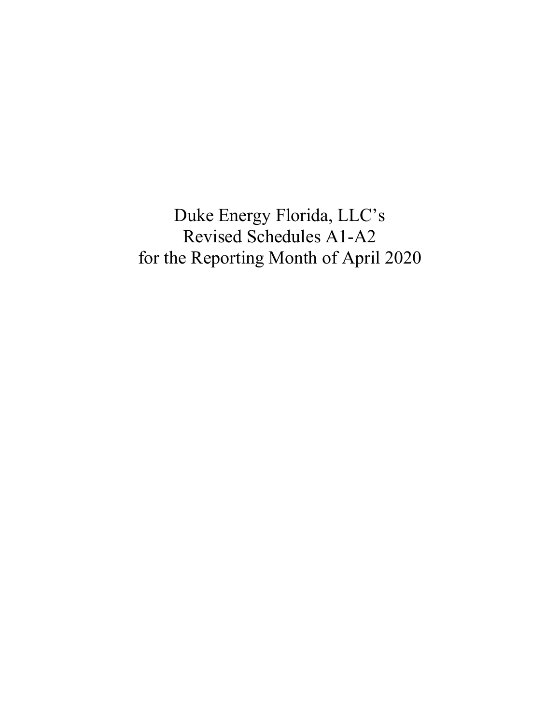Duke Energy Florida, LLC's Revised Schedules A1-A2 for the Reporting Month of April 2020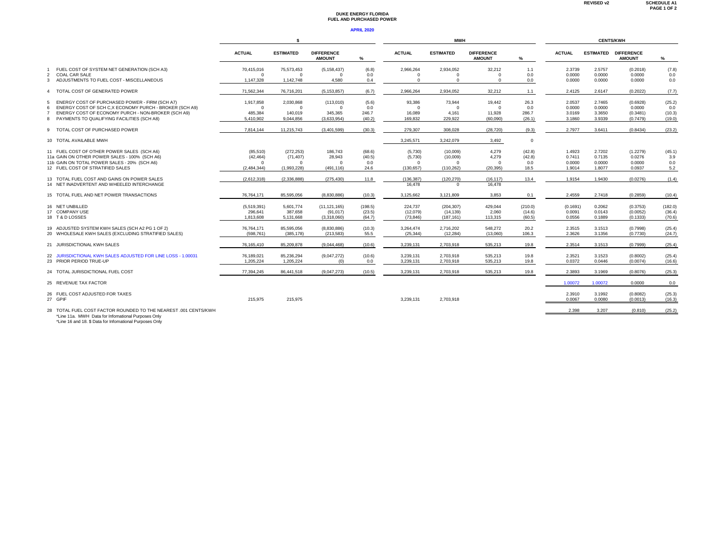#### **DUKE ENERGY FLORIDA FUEL AND PURCHASED POWER**

#### **APRIL 2020**

|                                                                                       |                        | -S                     |                                    |              |                       | MWH                   |                                    | <b>CENTS/KWH</b> |                  |                  |                                    |                  |
|---------------------------------------------------------------------------------------|------------------------|------------------------|------------------------------------|--------------|-----------------------|-----------------------|------------------------------------|------------------|------------------|------------------|------------------------------------|------------------|
|                                                                                       | <b>ACTUAL</b>          | <b>ESTIMATED</b>       | <b>DIFFERENCE</b><br><b>AMOUNT</b> | %            | <b>ACTUAL</b>         | <b>ESTIMATED</b>      | <b>DIFFERENCE</b><br><b>AMOUNT</b> | %                | <b>ACTUAL</b>    | <b>ESTIMATED</b> | <b>DIFFERENCE</b><br><b>AMOUNT</b> | %                |
| FUEL COST OF SYSTEM NET GENERATION (SCH A3)<br><b>COAL CAR SALE</b><br>$\mathfrak{p}$ | 70,415,016<br>$\Omega$ | 75,573,453<br>$\Omega$ | (5, 158, 437)<br>$\Omega$          | (6.8)<br>0.0 | 2,966,264<br>$\Omega$ | 2,934,052<br>$\Omega$ | 32,212<br>$\Omega$                 | 1.1<br>0.0       | 2.3739<br>0.0000 | 2.5757<br>0.0000 | (0.2018)<br>0.0000                 | (7.8)<br>0.0     |
| ADJUSTMENTS TO FUEL COST - MISCELLANEOUS<br>3                                         | 1.147.328              | 1.142.748              | 4.580                              | 0.4          | $\Omega$              | $\mathbf{0}$          | $\Omega$                           | 0.0              | 0.0000           | 0.0000           | 0.0000                             | 0.0              |
| 4 TOTAL COST OF GENERATED POWER                                                       | 71.562.344             | 76,716,201             | (5, 153, 857)                      | (6.7)        | 2,966,264             | 2.934.052             | 32,212                             | 1.1              | 2.4125           | 2.6147           | (0.2022)                           | (7.7)            |
| ENERGY COST OF PURCHASED POWER - FIRM (SCH A7)<br>5.                                  | 1,917,858<br>$\Omega$  | 2,030,868              | (113,010)<br>$\Omega$              | (5.6)        | 93,386<br>$\Omega$    | 73,944<br>$\Omega$    | 19,442<br>$\Omega$                 | 26.3             | 2.0537           | 2.7465           | (0.6928)                           | (25.2)           |
| ENERGY COST OF SCH C, X ECONOMY PURCH - BROKER (SCH A9)<br>6                          |                        | $\mathbf{0}$           |                                    | 0.0          |                       |                       |                                    | 0.0              | 0.0000           | 0.0000           | 0.0000                             | 0.0              |
| ENERGY COST OF ECONOMY PURCH - NON-BROKER (SCH A9)                                    | 485.384                | 140,019                | 345,365                            | 246.7        | 16,089                | 4,161                 | 11.928                             | 286.7            | 3.0169           | 3.3650           | (0.3481)                           | (10.3)           |
| PAYMENTS TO QUALIFYING FACILITIES (SCH A8)<br>8                                       | 5.410.902              | 9.044.856              | (3,633,954)                        | (40.2)       | 169.832               | 229.922               | (60.090)                           | (26.1)           | 3.1860           | 3.9339           | (0.7479)                           | (19.0)           |
| 9 TOTAL COST OF PURCHASED POWER                                                       | 7.814.144              | 11.215.743             | (3.401.599)                        | (30.3)       | 279.307               | 308.028               | (28.720)                           | (9.3)            | 2.7977           | 3.6411           | (0.8434)                           | (23.2)           |
| 10 TOTAL AVAILABLE MWH                                                                |                        |                        |                                    |              | 3,245,571             | 3.242.079             | 3,492                              | $\mathbf 0$      |                  |                  |                                    |                  |
| 11 FUEL COST OF OTHER POWER SALES (SCH A6)                                            | (85, 510)              | (272, 253)             | 186,743                            | (68.6)       | (5,730)               | (10,009)              | 4.279                              | (42.8)           | 1.4923           | 2.7202           | (1.2279)                           | (45.1)           |
| 11a GAIN ON OTHER POWER SALES - 100% (SCH A6)                                         | (42, 464)              | (71, 407)              | 28,943                             | (40.5)       | (5,730)               | (10,009)              | 4.279                              | (42.8)           | 0.7411           | 0.7135           | 0.0276                             | 3.9              |
| 11b GAIN ON TOTAL POWER SALES - 20% (SCH A6)                                          | - 0                    | $\Omega$               | $\Omega$                           | 0.0          | $\Omega$              | $\Omega$              | $\Omega$                           | 0.0              | 0.0000           | 0.0000           | 0.0000                             | 0.0              |
| 12 FUEL COST OF STRATIFIED SALES                                                      | (2.484.344)            | (1.993.228)            | (491.116)                          | 24.6         | (130.657)             | (110.262)             | (20.395)                           | 18.5             | 1.9014           | 1.8077           | 0.0937                             | 5.2              |
|                                                                                       |                        |                        |                                    |              |                       |                       |                                    |                  |                  |                  |                                    |                  |
| 13 TOTAL FUEL COST AND GAINS ON POWER SALES                                           | (2,612,318)            | (2,336,888)            | (275, 430)                         | 11.8         | (136, 387)            | (120, 270)            | (16, 117)                          | 13.4             | 1.9154           | 1.9430           | (0.0276)                           | (1.4)            |
| 14 NET INADVERTENT AND WHEELED INTERCHANGE                                            |                        |                        |                                    |              | 16.478                | $\Omega$              | 16.478                             |                  |                  |                  |                                    |                  |
| 15 TOTAL FUEL AND NET POWER TRANSACTIONS                                              | 76.764.171             | 85.595.056             | (8.830.886)                        | (10.3)       | 3.125.662             | 3.121.809             | 3.853                              | 0.1              | 2.4559           | 2.7418           | (0.2859)                           | (10.4)           |
| 16 NET UNBILLED                                                                       | (5,519,391)            | 5,601,774              | (11, 121, 165)                     | (198.5)      | 224,737               | (204, 307)            | 429.044                            | (210.0)          | (0.1691)         | 0.2062           | (0.3753)                           | (182.0)          |
| 17 COMPANY USE                                                                        | 296.641                | 387,658                | (91, 017)                          | (23.5)       | (12,079)              | (14, 139)             | 2.060                              | (14.6)           | 0.0091           | 0.0143           | (0.0052)                           | (36.4)           |
| 18 T&D LOSSES                                                                         | 1.813.608              | 5,131,668              | (3,318,060)                        | (64.7)       | (73, 846)             | (187, 161)            | 113,315                            | (60.5)           | 0.0556           | 0.1889           | (0.1333)                           | (70.6)           |
|                                                                                       |                        |                        |                                    |              |                       |                       |                                    |                  |                  |                  |                                    |                  |
| 19 ADJUSTED SYSTEM KWH SALES (SCH A2 PG 1 OF 2)                                       | 76,764,171             | 85,595,056             | (8,830,886)                        | (10.3)       | 3,264,474             | 2,716,202             | 548,272                            | 20.2             | 2.3515           | 3.1513           | (0.7998)                           | (25.4)           |
| 20 WHOLESALE KWH SALES (EXCLUDING STRATIFIED SALES)                                   | (598.761)              | (385, 178)             | (213,583)                          | 55.5         | (25, 344)             | (12, 284)             | (13.060)                           | 106.3            | 2.3626           | 3.1356           | (0.7730)                           | (24.7)           |
| 21 JURISDICTIONAL KWH SALES                                                           | 76.165.410             | 85,209,878             | (9.044.468)                        | (10.6)       | 3,239,131             | 2.703.918             | 535.213                            | 19.8             | 2.3514           | 3.1513           | (0.7999)                           | (25.4)           |
| 22 JURISDICTIONAL KWH SALES ADJUSTED FOR LINE LOSS - 1,00031                          | 76.189.021             | 85.236.294             | (9,047,272)                        | (10.6)       | 3,239,131             | 2.703.918             | 535.213                            | 19.8             | 2.3521           | 3.1523           | (0.8002)                           | (25.4)           |
| 23 PRIOR PERIOD TRUE-UP                                                               | 1.205.224              | 1,205,224              | (0)                                | 0.0          | 3,239,131             | 2.703.918             | 535.213                            | 19.8             | 0.0372           | 0.0446           | (0.0074)                           | (16.6)           |
| 24 TOTAL JURISDICTIONAL FUEL COST                                                     | 77.394.245             | 86.441.518             | (9,047,273)                        | (10.5)       | 3,239,131             | 2.703.918             | 535,213                            | 19.8             | 2.3893           | 3.1969           | (0.8076)                           | (25.3)           |
| 25 REVENUE TAX FACTOR                                                                 |                        |                        |                                    |              |                       |                       |                                    |                  | 1.00072          | 1.00072          | 0.0000                             | 0.0              |
| 26 FUEL COST ADJUSTED FOR TAXES                                                       |                        |                        |                                    |              |                       |                       |                                    |                  |                  | 3.1992           |                                    |                  |
| 27 GPIF                                                                               | 215.975                | 215.975                |                                    |              | 3.239.131             | 2.703.918             |                                    |                  | 2.3910<br>0.0067 | 0.0080           | (0.8082)<br>(0.0013)               | (25.3)<br>(16.3) |
|                                                                                       |                        |                        |                                    |              |                       |                       |                                    |                  |                  |                  |                                    |                  |
| $20.70711$ FUEL COOT FLOTOD DOUNDED TO TUE UELDECT, 201 OF UTOLOMY                    |                        |                        |                                    |              |                       |                       |                                    |                  | 0.000            | 0.007            | (0.010)                            | (0.00)           |

28 TOTAL FUEL COST FACTOR ROUNDED TO THE NEAREST .001 CENTS/KWH<br>\*Line 11a . MWH Data for Infomational Purposes Only<br>\*Line 16 and 18. \$ Data for Informational Purposes Only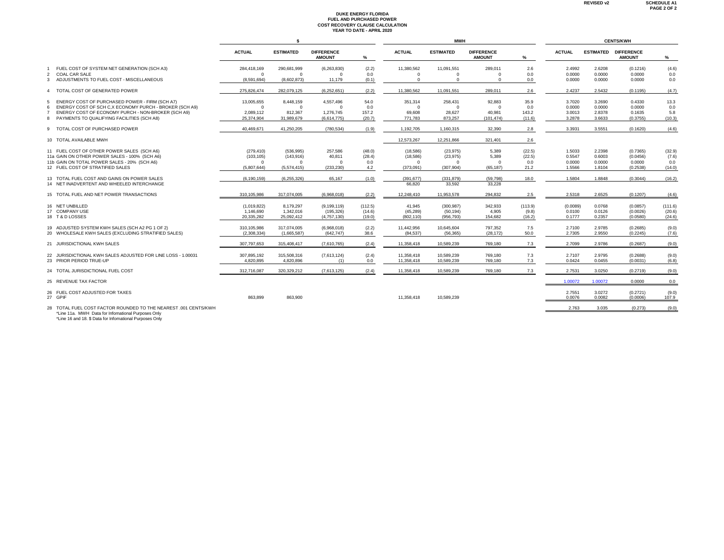# **DUKE ENERGY FLORIDA FUEL AND PURCHASED POWER COST RECOVERY CLAUSE CALCULATION YEAR TO DATE - APRIL 2020**

|                                                                            |                         | s                         |                                    |              |                      | <b>MWH</b>           |                                    |            |                  |                  |                                    |            |
|----------------------------------------------------------------------------|-------------------------|---------------------------|------------------------------------|--------------|----------------------|----------------------|------------------------------------|------------|------------------|------------------|------------------------------------|------------|
|                                                                            | <b>ACTUAL</b>           | <b>ESTIMATED</b>          | <b>DIFFERENCE</b><br><b>AMOUNT</b> | ℅            | <b>ACTUAL</b>        | <b>ESTIMATED</b>     | <b>DIFFERENCE</b><br><b>AMOUNT</b> | %          | <b>ACTUAL</b>    | <b>ESTIMATED</b> | <b>DIFFERENCE</b><br><b>AMOUNT</b> | %          |
| FUEL COST OF SYSTEM NET GENERATION (SCH A3)                                | 284,418,169             | 290.681.999               | (6,263,830)                        | (2.2)        | 11.380.562           | 11.091.551           | 289.011                            | 2.6        | 2.4992           | 2.6208           | (0.1216)                           | (4.6)      |
| <b>COAL CAR SALE</b><br>2<br>ADJUSTMENTS TO FUEL COST - MISCELLANEOUS<br>3 | $\Omega$<br>(8.591.694) | $^{\circ}$<br>(8,602,873) | $\Omega$<br>11,179                 | 0.0<br>(0.1) | $\Omega$<br>$\Omega$ | $\Omega$<br>$\Omega$ | $^{\circ}$<br>$\Omega$             | 0.0<br>0.0 | 0.0000<br>0.0000 | 0.0000<br>0.0000 | 0.0000<br>0.0000                   | 0.0<br>0.0 |
|                                                                            |                         |                           |                                    |              |                      |                      |                                    |            |                  |                  |                                    |            |
| TOTAL COST OF GENERATED POWER<br>$\overline{4}$                            | 275.826.474             | 282.079.125               | (6.252.651)                        | (2.2)        | 11.380.562           | 11.091.551           | 289.011                            | 2.6        | 2.4237           | 2.5432           | (0.1195)                           | (4.7)      |
| ENERGY COST OF PURCHASED POWER - FIRM (SCH A7)<br>.5                       | 13,005,655              | 8,448,159                 | 4,557,496                          | 54.0         | 351,314              | 258,431              | 92,883                             | 35.9       | 3.7020           | 3.2690           | 0.4330                             | 13.3       |
| ENERGY COST OF SCH C, X ECONOMY PURCH - BROKER (SCH A9)<br>6               | $\Omega$                | $\Omega$                  | $\Omega$                           | 0.0          | $\Omega$             | $\Omega$             | $\Omega$                           | 0.0        | 0.0000           | 0.0000           | 0.0000                             | 0.0        |
| ENERGY COST OF ECONOMY PURCH - NON-BROKER (SCH A9)<br>$\overline{7}$       | 2,089,112               | 812,367                   | 1,276,745                          | 157.2        | 69,608               | 28,627               | 40.981                             | 143.2      | 3.0013           | 2.8378           | 0.1635                             | 5.8        |
| 8 PAYMENTS TO QUALIFYING FACILITIES (SCH A8)                               | 25.374.904              | 31,989,679                | (6,614,775)                        | (20.7)       | 771.783              | 873.257              | (101, 474)                         | (11.6)     | 3.2878           | 3.6633           | (0.3755)                           | (10.3)     |
| 9 TOTAL COST OF PURCHASED POWER                                            | 40.469.671              | 41.250.205                | (780, 534)                         | (1.9)        | 1,192,705            | 1.160.315            | 32.390                             | 2.8        | 3.3931           | 3.5551           | (0.1620)                           | (4.6)      |
| 10 TOTAL AVAILABLE MWH                                                     |                         |                           |                                    |              | 12,573,267           | 12,251,866           | 321.401                            | 2.6        |                  |                  |                                    |            |
| 11 FUEL COST OF OTHER POWER SALES (SCH A6)                                 | (279, 410)              | (536, 995)                | 257.586                            | (48.0)       | (18,586)             | (23, 975)            | 5.389                              | (22.5)     | 1.5033           | 2.2398           | (0.7365)                           | (32.9)     |
| 11a GAIN ON OTHER POWER SALES - 100% (SCH A6)                              | (103, 105)              | (143, 916)                | 40.811                             | (28.4)       | (18, 586)            | (23, 975)            | 5,389                              | (22.5)     | 0.5547           | 0.6003           | (0.0456)                           | (7.6)      |
| 11b GAIN ON TOTAL POWER SALES - 20% (SCH A6)                               | $\Omega$                | $\Omega$                  | $\Omega$                           | 0.0          | $\Omega$             | $\Omega$             | $\overline{0}$                     | 0.0        | 0.0000           | 0.0000           | 0.0000                             | 0.0        |
| 12 FUEL COST OF STRATIFIED SALES                                           | (5,807,644)             | (5,574,415)               | (233, 230)                         | 4.2          | (373,091)            | (307, 904)           | (65, 187)                          | 21.2       | 1.5566           | 1.8104           | (0.2538)                           | (14.0)     |
| 13 TOTAL FUEL COST AND GAINS ON POWER SALES                                | (6.190.159)             | (6, 255, 326)             | 65,167                             | (1.0)        | (391, 677)           | (331.879)            | (59, 798)                          | 18.0       | 1.5804           | 1.8848           | (0.3044)                           | (16.2)     |
| 14 NET INADVERTENT AND WHEELED INTERCHANGE                                 |                         |                           |                                    |              | 66,820               | 33,592               | 33,228                             |            |                  |                  |                                    |            |
| 15 TOTAL FUEL AND NET POWER TRANSACTIONS                                   | 310,105,986             | 317,074,005               | (6,968,018)                        | (2.2)        | 12,248,410           | 11.953.578           | 294.832                            | 2.5        | 2.5318           | 2.6525           | (0.1207)                           | (4.6)      |
| 16 NET UNBILLED                                                            | (1,019,822)             | 8,179,297                 | (9, 199, 119)                      | (112.5)      | 41,945               | (300, 987)           | 342,933                            | (113.9)    | (0.0089)         | 0.0768           | (0.0857)                           | (111.6)    |
| 17 COMPANY USE                                                             | 1.146.690               | 1,342,016                 | (195, 326)                         | (14.6)       | (45, 289)            | (50, 194)            | 4,905                              | (9.8)      | 0.0100           | 0.0126           | (0.0026)                           | (20.6)     |
| 18 T&D LOSSES                                                              | 20.335.282              | 25,092,412                | (4.757.130)                        | (19.0)       | (802, 110)           | (956, 793)           | 154.682                            | (16.2)     | 0.1777           | 0.2357           | (0.0580)                           | (24.6)     |
| 19 ADJUSTED SYSTEM KWH SALES (SCH A2 PG 1 OF 2)                            | 310,105,986             | 317,074,005               | (6,968,018)                        | (2.2)        | 11,442,956           | 10,645,604           | 797,352                            | 7.5        | 2.7100           | 2.9785           | (0.2685)                           | (9.0)      |
| 20 WHOLESALE KWH SALES (EXCLUDING STRATIFIED SALES)                        | (2.308.334)             | (1,665,587)               | (642.747)                          | 38.6         | (84.537)             | (56.365)             | (28.172)                           | 50.0       | 2.7305           | 2.9550           | (0.2245)                           | (7.6)      |
| 21 JURISDICTIONAL KWH SALES                                                | 307.797.653             | 315,408,417               | (7,610,765)                        | (2.4)        | 11,358,418           | 10.589.239           | 769.180                            | 7.3        | 2.7099           | 2.9786           | (0.2687)                           | (9.0)      |
| 22 JURISDICTIONAL KWH SALES ADJUSTED FOR LINE LOSS - 1.00031               | 307.895.192             | 315,508,316               | (7,613,124)                        | (2.4)        | 11,358,418           | 10.589.239           | 769,180                            | 7.3        | 2.7107           | 2.9795           | (0.2688)                           | (9.0)      |
| 23 PRIOR PERIOD TRUE-UP                                                    | 4.820.895               | 4,820,896                 | (1)                                | 0.0          | 11,358,418           | 10.589.239           | 769,180                            | 7.3        | 0.0424           | 0.0455           | (0.0031)                           | (6.8)      |
| 24 TOTAL JURISDICTIONAL FUEL COST                                          | 312.716.087             | 320.329.212               | (7,613,125)                        | (2.4)        | 11,358,418           | 10.589.239           | 769.180                            | 7.3        | 2.7531           | 3.0250           | (0.2719)                           | (9.0)      |
| 25 REVENUE TAX FACTOR                                                      |                         |                           |                                    |              |                      |                      |                                    |            | 1.00072          | 1.00072          | 0.0000                             | 0.0        |
| 26 FUEL COST ADJUSTED FOR TAXES                                            |                         |                           |                                    |              |                      |                      |                                    |            | 2.7551           | 3.0272           | (0.2721)                           | (9.0)      |
| 27 GPIF                                                                    | 863,899                 | 863,900                   |                                    |              | 11,358,418           | 10,589,239           |                                    |            | 0.0076           | 0.0082           | (0.0006)                           | 107.9      |
| 28 TOTAL FUEL COST FACTOR ROUNDED TO THE NEAREST .001 CENTS/KWH            |                         |                           |                                    |              |                      |                      |                                    |            | 2.763            | 3.035            | (0.273)                            | (9.0)      |

\*Line 11a. MWH Data for Infomational Purposes Only \*Line 16 and 18. \$ Data for Infomational Purposes Only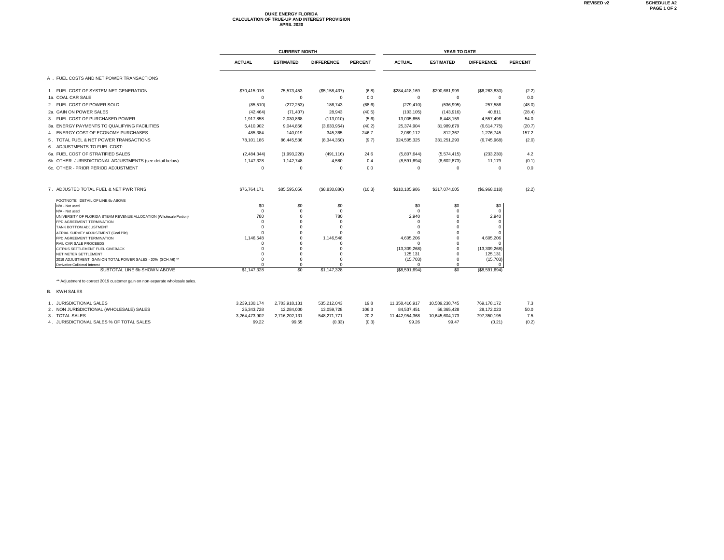# **DUKE ENERGY FLORIDA CALCULATION OF TRUE-UP AND INTEREST PROVISION APRIL 2020**

|                                                                              |                      | <b>CURRENT MONTH</b> |                      | YEAR TO DATE   |                         |                      |                         |                |  |
|------------------------------------------------------------------------------|----------------------|----------------------|----------------------|----------------|-------------------------|----------------------|-------------------------|----------------|--|
|                                                                              | <b>ACTUAL</b>        | <b>ESTIMATED</b>     | <b>DIFFERENCE</b>    | <b>PERCENT</b> | <b>ACTUAL</b>           | <b>ESTIMATED</b>     | <b>DIFFERENCE</b>       | <b>PERCENT</b> |  |
| A. FUEL COSTS AND NET POWER TRANSACTIONS                                     |                      |                      |                      |                |                         |                      |                         |                |  |
| 1. FUEL COST OF SYSTEM NET GENERATION                                        | \$70,415,016         | 75,573,453           | (\$5,158,437)        | (6.8)          | \$284,418,169           | \$290.681.999        | (S6, 263, 830)          | (2.2)          |  |
| 1a. COAL CAR SALE                                                            | $\Omega$             | $^{\circ}$           | 0                    | 0.0            | 0                       | $\mathbf 0$          | $^{\circ}$              | 0.0            |  |
| 2. FUEL COST OF POWER SOLD                                                   | (85, 510)            | (272, 253)           | 186,743              | (68.6)         | (279, 410)              | (536, 995)           | 257,586                 | (48.0)         |  |
| 2a. GAIN ON POWER SALES                                                      | (42, 464)            | (71, 407)            | 28.943               | (40.5)         | (103, 105)              | (143, 916)           | 40.811                  | (28.4)         |  |
| 3. FUEL COST OF PURCHASED POWER                                              | 1,917,858            | 2,030,868            | (113,010)            | (5.6)          | 13,005,655              | 8,448,159            | 4,557,496               | 54.0           |  |
| 3a. ENERGY PAYMENTS TO QUALIFYING FACILITIES                                 | 5,410,902            | 9,044,856            | (3,633,954)          | (40.2)         | 25,374,904              | 31,989,679           | (6,614,775)             | (20.7)         |  |
| 4. ENERGY COST OF ECONOMY PURCHASES                                          | 485,384              | 140,019              | 345,365              | 246.7          | 2,089,112               | 812,367              | 1,276,745               | 157.2          |  |
| 5. TOTAL FUEL & NET POWER TRANSACTIONS                                       | 78,101,186           | 86,445,536           | (8,344,350)          | (9.7)          | 324,505,325             | 331,251,293          | (6,745,968)             | (2.0)          |  |
| 6. ADJUSTMENTS TO FUEL COST:                                                 |                      |                      |                      |                |                         |                      |                         |                |  |
| 6a. FUEL COST OF STRATIFIED SALES                                            | (2,484,344)          | (1,993,228)          | (491, 116)           | 24.6           | (5,807,644)             | (5,574,415)          | (233, 230)              | 4.2            |  |
| 6b. OTHER- JURISDICTIONAL ADJUSTMENTS (see detail below)                     | 1,147,328            | 1,142,748            | 4,580                | 0.4            | (8,591,694)             | (8,602,873)          | 11,179                  | (0.1)          |  |
| 6c. OTHER - PRIOR PERIOD ADJUSTMENT                                          | $\Omega$             | $\Omega$             | $\Omega$             | 0.0            | 0                       | $\Omega$             | $\Omega$                | 0.0            |  |
| 7. ADJUSTED TOTAL FUEL & NET PWR TRNS                                        | \$76,764,171         | \$85,595,056         | (\$8,830,886)        | (10.3)         | \$310,105,986           | \$317,074,005        | (S6,968,018)            | (2.2)          |  |
| FOOTNOTE DETAIL OF LINE 6b ABOVE<br>N/A - Not used                           | \$0                  | \$0                  | \$0                  |                | \$0                     | \$0                  | \$0                     |                |  |
| N/A - Not used                                                               | $\mathbf 0$          | $^{\circ}$           | 0                    |                | $\Omega$                | $\Omega$             | $\Omega$                |                |  |
| UNIVERSITY OF FLORIDA STEAM REVENUE ALLOCATION {Wholesale Portion}           | 780                  | $\mathbf 0$          | 780                  |                | 2.940                   | $\Omega$             | 2,940                   |                |  |
| FPD AGREEMENT TERMINATION<br>TANK BOTTOM ADJUSTMENT                          | $\Omega$<br>$\Omega$ | $\Omega$<br>$\Omega$ | 0<br>$\Omega$        |                | $\Omega$<br>$\Omega$    | $\Omega$<br>$\Omega$ | $\Omega$<br>$\Omega$    |                |  |
| AERIAL SURVEY ADJUSTMENT (Coal Pile)                                         | $\Omega$             | $\Omega$             | $\Omega$             |                |                         | $\Omega$             | $\Omega$                |                |  |
| FPD AGREEMENT TERMINATION                                                    | 1,146,548            | $\Omega$             | 1,146,548            |                | 4.605.206               | $\Omega$             | 4,605,206               |                |  |
| RAIL CAR SALE PROCEEDS                                                       | $\Omega$             | $\Omega$<br>$\Omega$ | $\Omega$<br>$\Omega$ |                | C                       | $\Omega$<br>$\Omega$ | $\Omega$                |                |  |
| CITRUS SETTLEMENT FUEL GIVEBACK<br>NET METER SETTLEMENT                      | $\Omega$             | $\Omega$             | $\Omega$             |                | (13,309,268)<br>125,131 | $\Omega$             | (13,309,268)<br>125,131 |                |  |
| 2019 ADJUSTMENT GAIN ON TOTAL POWER SALES - 20% (SCH A6) **                  | $\Omega$             | $\Omega$             | $\Omega$             |                | (15, 703)               | $\Omega$             | (15, 703)               |                |  |
| Derivative Collateral Interest                                               |                      | $\Omega$             | $\Omega$             |                | U                       | $\Omega$             | 0                       |                |  |
| SUBTOTAL LINE 6b SHOWN ABOVE                                                 | \$1,147,328          | \$0                  | \$1,147,328          |                | (S8, 591, 694)          | \$0                  | (\$8,591,694)           |                |  |
| ** Adjustment to correct 2019 customer gain on non-separate wholesale sales. |                      |                      |                      |                |                         |                      |                         |                |  |
| B. KWH SALES                                                                 |                      |                      |                      |                |                         |                      |                         |                |  |
| 1. JURISDICTIONAL SALES                                                      | 3,239,130,174        | 2,703,918,131        | 535,212,043          | 19.8           | 11,358,416,917          | 10,589,238,745       | 769,178,172             | 7.3            |  |
| 2. NON JURISDICTIONAL (WHOLESALE) SALES                                      | 25,343,728           | 12,284,000           | 13,059,728           | 106.3          | 84,537,451              | 56,365,428           | 28,172,023              | 50.0           |  |
| 3. TOTAL SALES                                                               | 3,264,473,902        | 2,716,202,131        | 548,271,771          | 20.2           | 11,442,954,368          | 10,645,604,173       | 797,350,195             | 7.5            |  |
| 4. JURISDICTIONAL SALES % OF TOTAL SALES                                     | 99.22                | 99.55                | (0.33)               | (0.3)          | 99.26                   | 99.47                | (0.21)                  | (0.2)          |  |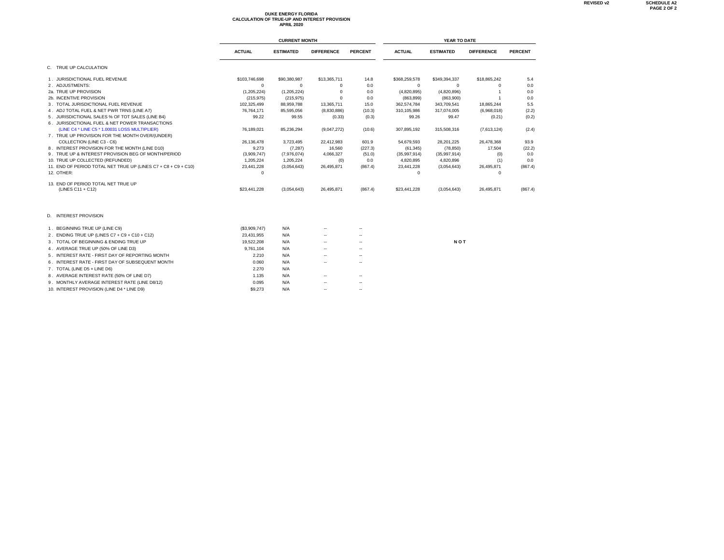## **DUKE ENERGY FLORIDA CALCULATION OF TRUE-UP AND INTEREST PROVISION APRIL 2020**

|                                                                |               | <b>CURRENT MONTH</b> |                   | YEAR TO DATE   |               |                  |                   |                |  |
|----------------------------------------------------------------|---------------|----------------------|-------------------|----------------|---------------|------------------|-------------------|----------------|--|
|                                                                | <b>ACTUAL</b> | <b>ESTIMATED</b>     | <b>DIFFERENCE</b> | <b>PERCENT</b> | <b>ACTUAL</b> | <b>ESTIMATED</b> | <b>DIFFERENCE</b> | <b>PERCENT</b> |  |
| C. TRUE UP CALCULATION                                         |               |                      |                   |                |               |                  |                   |                |  |
| 1. JURISDICTIONAL FUEL REVENUE                                 | \$103,746,698 | \$90,380,987         | \$13,365,711      | 14.8           | \$368,259,578 | \$349,394,337    | \$18,865,242      | 5.4            |  |
| 2. ADJUSTMENTS:                                                | $\Omega$      | $\Omega$             | $\Omega$          | 0.0            | 0             | $\Omega$         | $\Omega$          | 0.0            |  |
| 2a. TRUE UP PROVISION                                          | (1,205,224)   | (1,205,224)          | 0                 | 0.0            | (4,820,895)   | (4,820,896)      |                   | 0.0            |  |
| 2b. INCENTIVE PROVISION                                        | (215, 975)    | (215, 975)           | $\Omega$          | 0.0            | (863, 899)    | (863,900)        |                   | 0.0            |  |
| 3. TOTAL JURISDICTIONAL FUEL REVENUE                           | 102,325,499   | 88,959,788           | 13,365,711        | 15.0           | 362,574,784   | 343,709,541      | 18,865,244        | 5.5            |  |
| 4. ADJ TOTAL FUEL & NET PWR TRNS (LINE A7)                     | 76,764,171    | 85,595,056           | (8,830,886)       | (10.3)         | 310,105,986   | 317,074,005      | (6,968,018)       | (2.2)          |  |
| 5. JURISDICTIONAL SALES % OF TOT SALES (LINE B4)               | 99.22         | 99.55                | (0.33)            | (0.3)          | 99.26         | 99.47            | (0.21)            | (0.2)          |  |
| 6. JURISDICTIONAL FUEL & NET POWER TRANSACTIONS                |               |                      |                   |                |               |                  |                   |                |  |
| (LINE C4 * LINE C5 * 1.00031 LOSS MULTIPLIER)                  | 76,189,021    | 85,236,294           | (9,047,272)       | (10.6)         | 307,895,192   | 315,508,316      | (7,613,124)       | (2.4)          |  |
| 7. TRUE UP PROVISION FOR THE MONTH OVER/(UNDER)                |               |                      |                   |                |               |                  |                   |                |  |
| COLLECTION (LINE C3 - C6)                                      | 26,136,478    | 3,723,495            | 22,412,983        | 601.9          | 54,679,593    | 28,201,225       | 26,478,368        | 93.9           |  |
| 8. INTEREST PROVISION FOR THE MONTH (LINE D10)                 | 9,273         | (7, 287)             | 16,560            | (227.3)        | (61, 345)     | (78, 850)        | 17,504            | (22.2)         |  |
| 9. TRUE UP & INTEREST PROVISION BEG OF MONTH/PERIOD            | (3,909,747)   | (7,976,074)          | 4,066,327         | (51.0)         | (35,997,914)  | (35,997,914)     | (0)               | 0.0            |  |
| 10. TRUE UP COLLECTED (REFUNDED)                               | 1,205,224     | 1,205,224            | (0)               | 0.0            | 4,820,895     | 4,820,896        | (1)               | 0.0            |  |
| 11. END OF PERIOD TOTAL NET TRUE UP (LINES C7 + C8 + C9 + C10) | 23,441,228    | (3,054,643)          | 26,495,871        | (867.4)        | 23,441,228    | (3,054,643)      | 26,495,871        | (867.4)        |  |
| 12. OTHER:                                                     | 0             |                      |                   |                | 0             |                  | $^{\circ}$        |                |  |
| 13. END OF PERIOD TOTAL NET TRUE UP                            |               |                      |                   |                |               |                  |                   |                |  |
| (LINES C11 + C12)                                              | \$23,441,228  | (3,054,643)          | 26,495,871        | (867.4)        | \$23,441,228  | (3,054,643)      | 26,495,871        | (867.4)        |  |
| D. INTEREST PROVISION                                          |               |                      |                   |                |               |                  |                   |                |  |
| 1. BEGINNING TRUE UP (LINE C9)                                 | (\$3,909,747) | N/A                  |                   |                |               |                  |                   |                |  |
| 2. ENDING TRUE UP (LINES C7 + C9 + C10 + C12)                  | 23,431,955    | N/A                  |                   |                |               |                  |                   |                |  |
| 3. TOTAL OF BEGINNING & ENDING TRUE UP                         | 19,522,208    | N/A                  |                   | --             |               | <b>NOT</b>       |                   |                |  |
| 4. AVERAGE TRUE UP (50% OF LINE D3)                            | 9.761.104     | N/A                  |                   |                |               |                  |                   |                |  |
| 5. INTEREST RATE - FIRST DAY OF REPORTING MONTH                | 2.210         | N/A                  |                   |                |               |                  |                   |                |  |
| 6. INTEREST RATE - FIRST DAY OF SUBSEQUENT MONTH               | 0.060         | N/A                  |                   |                |               |                  |                   |                |  |
| 7. TOTAL (LINE D5 + LINE D6)                                   | 2.270         | N/A                  |                   |                |               |                  |                   |                |  |
| 8. AVERAGE INTEREST RATE (50% OF LINE D7)                      | 1.135         | N/A                  | -                 |                |               |                  |                   |                |  |
|                                                                |               |                      |                   |                |               |                  |                   |                |  |
| 9. MONTHLY AVERAGE INTEREST RATE (LINE D8/12)                  | 0.095         | N/A                  |                   |                |               |                  |                   |                |  |
| 10. INTEREST PROVISION (LINE D4 * LINE D9)                     | \$9.273       | N/A                  | -                 |                |               |                  |                   |                |  |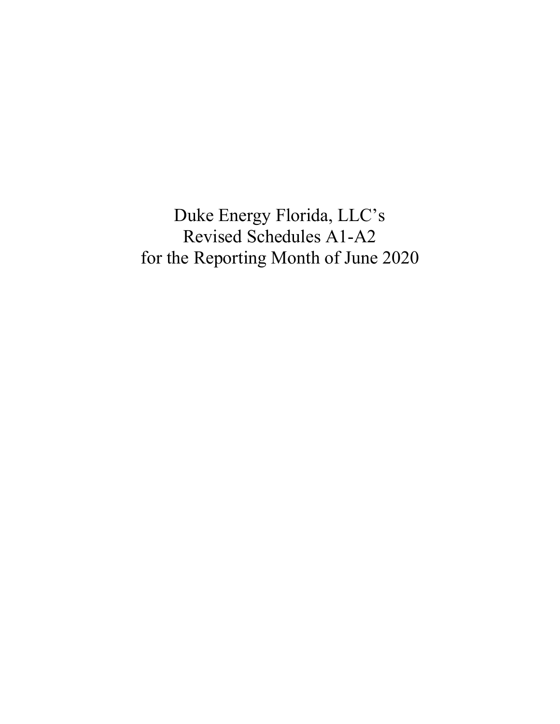Duke Energy Florida, LLC's Revised Schedules A1-A2 for the Reporting Month of June 2020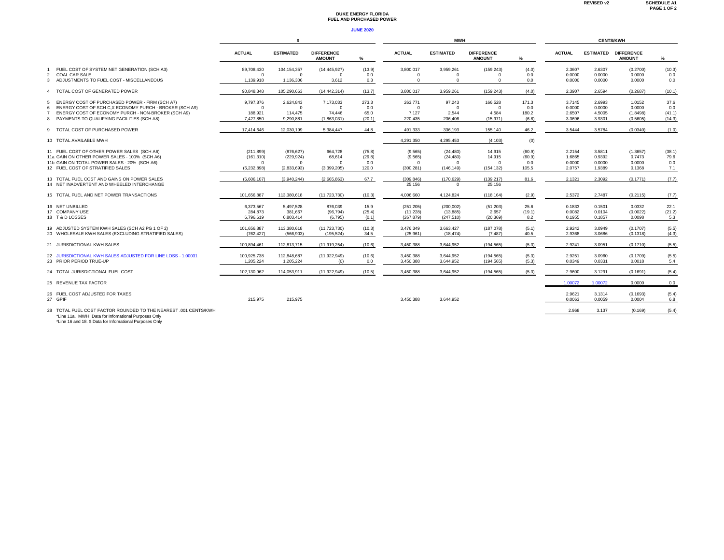#### **DUKE ENERGY FLORIDA FUEL AND PURCHASED POWER**

#### **JUNE 2020**

|                                                                                       | -S                     |                                 |                                    |               | <b>CENTS/KWH</b>      |                       |                                    |              |                  |                  |                                    |               |
|---------------------------------------------------------------------------------------|------------------------|---------------------------------|------------------------------------|---------------|-----------------------|-----------------------|------------------------------------|--------------|------------------|------------------|------------------------------------|---------------|
|                                                                                       | <b>ACTUAL</b>          | <b>ESTIMATED</b>                | <b>DIFFERENCE</b><br><b>AMOUNT</b> | ℅             | <b>ACTUAL</b>         | <b>ESTIMATED</b>      | <b>DIFFERENCE</b><br><b>AMOUNT</b> | ℅            | <b>ACTUAL</b>    | <b>ESTIMATED</b> | <b>DIFFERENCE</b><br><b>AMOUNT</b> | %             |
| FUEL COST OF SYSTEM NET GENERATION (SCH A3)<br><b>COAL CAR SALE</b><br>$\overline{2}$ | 89,708,430<br>$\Omega$ | 104, 154, 357<br>$\overline{0}$ | (14, 445, 927)<br>$\Omega$         | (13.9)<br>0.0 | 3,800,017<br>$\Omega$ | 3.959.261<br>$\Omega$ | (159, 243)<br>$\Omega$             | (4.0)<br>0.0 | 2.3607<br>0.0000 | 2.6307<br>0.0000 | (0.2700)<br>0.0000                 | (10.3)<br>0.0 |
| 3 ADJUSTMENTS TO FUEL COST - MISCELLANEOUS                                            | 1,139,918              | 1,136,306                       | 3,612                              | 0.3           | $\Omega$              | $\Omega$              | $\Omega$                           | 0.0          | 0.0000           | 0.0000           | 0.0000                             | 0.0           |
| 4 TOTAL COST OF GENERATED POWER                                                       | 90.848.348             | 105.290.663                     | (14, 442, 314)                     | (13.7)        | 3.800.017             | 3,959,261             | (159, 243)                         | (4.0)        | 2.3907           | 2.6594           | (0.2687)                           | (10.1)        |
| ENERGY COST OF PURCHASED POWER - FIRM (SCH A7)<br>5                                   | 9,797,876              | 2,624,843                       | 7,173,033                          | 273.3         | 263,771               | 97,243                | 166,528                            | 171.3        | 3.7145           | 2.6993           | 1.0152                             | 37.6          |
| ENERGY COST OF SCH C, X ECONOMY PURCH - BROKER (SCH A9)<br>6                          | $\Omega$               | $\Omega$                        | $\Omega$                           | 0.0           | $\Omega$              | $\Omega$              | $\mathbf{0}$                       | 0.0          | 0.0000           | 0.0000           | 0.0000                             | 0.0           |
| ENERGY COST OF ECONOMY PURCH - NON-BROKER (SCH A9)                                    | 188,921                | 114,475                         | 74,446                             | 65.0          | 7,127                 | 2,544                 | 4,584                              | 180.2        | 2.6507           | 4.5005           | (1.8498)                           | (41.1)        |
| PAYMENTS TO QUALIFYING FACILITIES (SCH A8)<br>8                                       | 7,427,850              | 9,290,881                       | (1,863,031)                        | (20.1)        | 220,435               | 236,406               | (15, 971)                          | (6.8)        | 3.3696           | 3.9301           | (0.5605)                           | (14.3)        |
| 9 TOTAL COST OF PURCHASED POWER                                                       | 17.414.646             | 12.030.199                      | 5.384.447                          | 44.8          | 491.333               | 336.193               | 155.140                            | 46.2         | 3.5444           | 3.5784           | (0.0340)                           | (1.0)         |
| 10 TOTAL AVAILABLE MWH                                                                |                        |                                 |                                    |               | 4.291.350             | 4.295.453             | (4, 103)                           | (0)          |                  |                  |                                    |               |
| 11 FUEL COST OF OTHER POWER SALES (SCH A6)                                            | (211.899)              | (876, 627)                      | 664.728                            | (75.8)        | (9, 565)              | (24.480)              | 14.915                             | (60.9)       | 2.2154           | 3.5811           | (1.3657)                           | (38.1)        |
| 11a GAIN ON OTHER POWER SALES - 100% (SCH A6)                                         | (161, 310)             | (229, 924)                      | 68.614                             | (29.8)        | (9, 565)              | (24, 480)             | 14.915                             | (60.9)       | 1.6865           | 0.9392           | 0.7473                             | 79.6          |
| 11b GAIN ON TOTAL POWER SALES - 20% (SCH A6)                                          | $\Omega$               | $\Omega$                        | $\Omega$                           | 0.0           | $\Omega$              | $\Omega$              | $\mathbf{0}$                       | 0.0          | 0.0000           | 0.0000           | 0.0000                             | 0.0           |
| 12 FUEL COST OF STRATIFIED SALES                                                      | (6.232.898)            | (2,833,693)                     | (3.399.205)                        | 120.0         | (300.281)             | (146.149)             | (154.132)                          | 105.5        | 2.0757           | 1.9389           | 0.1368                             | 7.1           |
| 13 TOTAL FUEL COST AND GAINS ON POWER SALES                                           | (6.606.107)            | (3,940,244)                     | (2.665.863)                        | 67.7          | (309, 846)            | (170.629)             | (139, 217)                         | 81.6         | 2.1321           | 2.3092           | (0.1771)                           | (7.7)         |
| 14 NET INADVERTENT AND WHEELED INTERCHANGE                                            |                        |                                 |                                    |               | 25.156                | $\Omega$              | 25.156                             |              |                  |                  |                                    |               |
| 15 TOTAL FUEL AND NET POWER TRANSACTIONS                                              | 101.656.887            | 113,380,618                     | (11, 723, 730)                     | (10.3)        | 4.006.660             | 4.124.824             | (118, 164)                         | (2.9)        | 2.5372           | 2.7487           | (0.2115)                           | (7.7)         |
| 16 NET UNBILLED                                                                       | 6,373,567              | 5,497,528                       | 876,039                            | 15.9          | (251, 205)            | (200, 002)            | (51,203)                           | 25.6         | 0.1833           | 0.1501           | 0.0332                             | 22.1          |
| 17 COMPANY USE                                                                        | 284,873                | 381,667                         | (96, 794)                          | (25.4)        | (11, 228)             | (13, 885)             | 2,657                              | (19.1)       | 0.0082           | 0.0104           | (0.0022)                           | (21.2)        |
| 18 T&D LOSSES                                                                         | 6.796.619              | 6,803,414                       | (6,795)                            | (0.1)         | (267, 879)            | (247, 510)            | (20, 369)                          | 8.2          | 0.1955           | 0.1857           | 0.0098                             | 5.3           |
| 19 ADJUSTED SYSTEM KWH SALES (SCH A2 PG 1 OF 2)                                       | 101.656.887            | 113,380,618                     | (11, 723, 730)                     | (10.3)        | 3,476,349             | 3.663.427             | (187, 078)                         | (5.1)        | 2.9242           | 3.0949           | (0.1707)                           | (5.5)         |
| 20 WHOLESALE KWH SALES (EXCLUDING STRATIFIED SALES)                                   | (762.427)              | (566, 903)                      | (195.524)                          | 34.5          | (25,961)              | (18.474)              | (7.487)                            | 40.5         | 2.9368           | 3.0686           | (0.1318)                           | (4.3)         |
| 21 JURISDICTIONAL KWH SALES                                                           | 100,894,461            | 112,813,715                     | (11, 919, 254)                     | (10.6)        | 3,450,388             | 3,644,952             | (194, 565)                         | (5.3)        | 2.9241           | 3.0951           | (0.1710)                           | (5.5)         |
| 22 JURISDICTIONAL KWH SALES ADJUSTED FOR LINE LOSS - 1,00031                          | 100,925,738            | 112,848,687                     | (11, 922, 949)                     | (10.6)        | 3,450,388             | 3,644,952             | (194, 565)                         | (5.3)        | 2.9251           | 3.0960           | (0.1709)                           | (5.5)         |
| 23 PRIOR PERIOD TRUE-UP                                                               | 1.205.224              | 1,205,224                       | (0)                                | 0.0           | 3,450,388             | 3.644.952             | (194.565)                          | (5.3)        | 0.0349           | 0.0331           | 0.0018                             | 5.4           |
| 24 TOTAL JURISDICTIONAL FUEL COST                                                     | 102.130.962            | 114.053.911                     | (11.922.949)                       | (10.5)        | 3.450.388             | 3.644.952             | (194.565)                          | (5.3)        | 2.9600           | 3.1291           | (0.1691)                           | (5.4)         |
| 25 REVENUE TAX FACTOR                                                                 |                        |                                 |                                    |               |                       |                       |                                    |              | 1.00072          | 1.00072          | 0.0000                             | 0.0           |
| 26 FUEL COST ADJUSTED FOR TAXES                                                       |                        |                                 |                                    |               |                       |                       |                                    |              | 2.9621           | 3.1314           | (0.1693)                           | (5.4)         |
| 27 GPIF                                                                               | 215,975                | 215,975                         |                                    |               | 3.450.388             | 3.644.952             |                                    |              | 0.0063           | 0.0059           | 0.0004                             | 6.8           |
| 28 TOTAL FUEL COST FACTOR ROUNDED TO THE NEAREST .001 CENTS/KWH                       |                        |                                 |                                    |               |                       |                       |                                    |              | 2.968            | 3.137            | (0.169)                            | (5.4)         |

\*Line 11a. MWH Data for Infomational Purposes Only \*Line 16 and 18. \$ Data for Infomational Purposes Only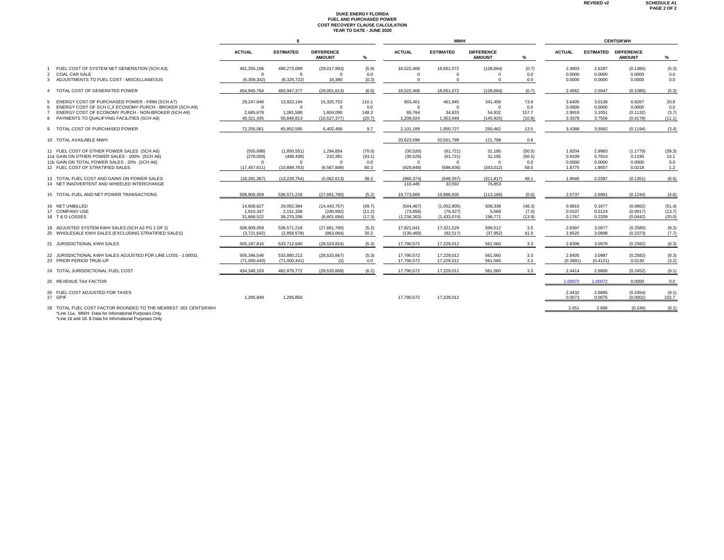# **DUKE ENERGY FLORIDA FUEL AND PURCHASED POWER COST RECOVERY CLAUSE CALCULATION YEAR TO DATE - JUNE 2020**

|                                                                                           |                |                  |                                    |        |                       | MWH                  |                                    | <b>CENTS/KWH</b> |               |          |                                              |        |
|-------------------------------------------------------------------------------------------|----------------|------------------|------------------------------------|--------|-----------------------|----------------------|------------------------------------|------------------|---------------|----------|----------------------------------------------|--------|
|                                                                                           | <b>ACTUAL</b>  | <b>ESTIMATED</b> | <b>DIFFERENCE</b><br><b>AMOUNT</b> | %      | <b>ACTUAL</b>         | <b>ESTIMATED</b>     | <b>DIFFERENCE</b><br><b>AMOUNT</b> | %                | <b>ACTUAL</b> |          | <b>ESTIMATED DIFFERENCE</b><br><b>AMOUNT</b> | %      |
| FUEL COST OF SYSTEM NET GENERATION (SCH A3)                                               | 461,255,106    | 490,273,099      | (29,017,993)                       | (5.9)  | 18,522,408            | 18,651,072           | (128, 664)                         | (0.7)            | 2.4903        | 2.6287   | (0.1384)                                     | (5.3)  |
| <b>COAL CAR SALE</b><br>2                                                                 | $\Omega$       | $\Omega$         | $^{\circ}$                         | 0.0    | $\Omega$              | $\Omega$<br>$\Omega$ | $\Omega$                           | 0.0              | 0.0000        | 0.0000   | 0.0000                                       | 0.0    |
| ADJUSTMENTS TO FUEL COST - MISCELLANEOUS<br>3                                             | (6.309.342)    | (6,325,722)      | 16,380                             | (0.3)  | $\Omega$              |                      | $\Omega$                           | 0.0              | 0.0000        | 0.0000   | 0.0000                                       | 0.0    |
| TOTAL COST OF GENERATED POWER<br>4                                                        | 454.945.764    | 483.947.377      | (29,001,613)                       | (6.0)  | 18.522.408            | 18.651.072           | (128.664)                          | (0.7)            | 2.4562        | 2.5947   | (0.1385)                                     | (5.3)  |
| ENERGY COST OF PURCHASED POWER - FIRM (SCH A7)<br>.5                                      | 29,247,948     | 13,922,194       | 15,325,753                         | 110.1  | 803,401               | 461,945              | 341,456                            | 73.9             | 3.6405        | 3.0138   | 0.6267                                       | 20.8   |
| ENERGY COST OF SCH C.X ECONOMY PURCH - BROKER (SCH A9)<br>6                               | $\Omega$       | $^{\circ}$       | $\Omega$                           | 0.0    | $\Omega$              | $\Omega$             | $\Omega$                           | 0.0              | 0.0000        | 0.0000   | 0.0000                                       | 0.0    |
| ENERGY COST OF ECONOMY PURCH - NON-BROKER (SCH A9)                                        | 2.685.678      | 1,081,588        | 1.604.090                          | 148.3  | 89,764                | 34,833               | 54,932                             | 157.7            | 2.9919        | 3.1051   | (0.1132)                                     | (3.7)  |
| 8 PAYMENTS TO QUALIFYING FACILITIES (SCH A8)                                              | 40.321.435     | 50,848,813       | (10,527,377)                       | (20.7) | 1,208,024             | 1.353.949            | (145, 925)                         | (10.8)           | 3.3378        | 3.7556   | (0.4178)                                     | (11.1) |
| 9 TOTAL COST OF PURCHASED POWER                                                           | 72.255.061     | 65.852.595       | 6.402.466                          | 9.7    | 2.101.189             | 1.850.727            | 250.462                            | 13.5             | 3.4388        | 3.5582   | (0.1194)                                     | (3.4)  |
| 10 TOTAL AVAILABLE MWH                                                                    |                |                  |                                    |        | 20.623.598            | 20.501.799           | 121.798                            | 0.6              |               |          |                                              |        |
| 11 FUEL COST OF OTHER POWER SALES (SCH A6)                                                | (555, 698)     | (1,850,551)      | 1,294,854                          | (70.0) | (30, 526)             | (61, 721)            | 31,195                             | (50.5)           | 1.8204        | 2.9983   | (1.1779)                                     | (39.3) |
| 11a GAIN ON OTHER POWER SALES - 100% (SCH A6)                                             | (278,059)      | (488, 439)       | 210,381                            | (43.1) | (30, 526)             | (61, 721)            | 31,195                             | (50.5)           | 0.9109        | 0.7914   | 0.1195                                       | 15.1   |
| 11b GAIN ON TOTAL POWER SALES - 20% (SCH A6)                                              | $\Omega$       | $\Omega$         | $\Omega$                           | 0.0    | $\Omega$              | $\Omega$             | $\Omega$                           | 0.0              | 0.0000        | 0.0000   | 0.0000                                       | 0.0    |
| 12 FUEL COST OF STRATIFIED SALES                                                          | (17, 457, 611) | (10,889,763)     | (6,567,848)                        | 60.3   | (929, 848)            | (586, 836)           | (343, 012)                         | 58.5             | 1.8775        | 1.8557   | 0.0218                                       | 1.2    |
| 13 TOTAL FUEL COST AND GAINS ON POWER SALES<br>14 NET INADVERTENT AND WHEELED INTERCHANGE | (18, 291, 367) | (13, 228, 754)   | (5,062,613)                        | 38.3   | (960, 374)<br>110.445 | (648, 557)<br>33.592 | (311, 817)<br>76.853               | 48.1             | 1.9046        | 2.0397   | (0.1351)                                     | (6.6)  |
| 15 TOTAL FUEL AND NET POWER TRANSACTIONS                                                  | 508.909.459    | 536.571.218      | (27.661.760)                       | (5.2)  | 19,773,669            | 19,886,835           | (113, 166)                         | (0.6)            | 2.5737        | 2.6981   | (0.1244)                                     | (4.6)  |
| 16 NET UNBILLED                                                                           | 14.608.627     | 29,052,384       | (14.443.757)                       | (49.7) | (544, 467)            | (1.052.805)          | 508.338                            | (48.3)           | 0.0815        | 0.1677   | (0.0862)                                     | (51.4) |
| 17 COMPANY USE                                                                            | 1.910.347      | 2,151,339        | (240, 992)                         | (11.2) | (73, 858)             | (79, 427)            | 5,569                              | (7.0)            | 0.0107        | 0.0124   | (0.0017)                                     | (13.7) |
| 18 T&D LOSSES                                                                             | 31.668.522     | 38.270.206       | (6.601.684)                        | (17.3) | (1,234,303)           | (1.433.074)          | 198,771                            | (13.9)           | 0.1767        | 0.2209   | (0.0442)                                     | (20.0) |
| 19 ADJUSTED SYSTEM KWH SALES (SCH A2 PG 1 OF 2)                                           | 508,909,459    | 536,571,218      | (27,661,760)                       | (5.2)  | 17,921,041            | 17,321,529           | 599,512                            | 3.5              | 2.8397        | 3.0977   | (0.2580)                                     | (8.3)  |
| 20 WHOLESALE KWH SALES (EXCLUDING STRATIFIED SALES)                                       | (3.721.642)    | (2.858.578)      | (863.064)                          | 30.2   | (130.469)             | (92.517)             | (37.952)                           | 41.0             | 2.8525        | 3.0898   | (0.2373)                                     | (7.7)  |
| 21 JURISDICTIONAL KWH SALES                                                               | 505, 187, 816  | 533,712,640      | (28, 524, 824)                     | (5.3)  | 17,790,572            | 17,229,012           | 561,560                            | 3.3              | 2.8396        | 3.0978   | (0.2582)                                     | (8.3)  |
| 22 JURISDICTIONAL KWH SALES ADJUSTED FOR LINE LOSS - 1.00031                              | 505,346,546    | 533,880,213      | (28, 533, 667)                     | (5.3)  | 17,790,572            | 17,229,012           | 561,560                            | 3.3              | 2.8405        | 3.0987   | (0.2582)                                     | (8.3)  |
| 23 PRIOR PERIOD TRUE-UP                                                                   | (71.000.443)   | (71,000,441)     | (2)                                | 0.0    | 17.790.572            | 17.229.012           | 561.560                            | 3.3              | (0.3991)      | (0.4121) | 0.0130                                       | (3.2)  |
| 24 TOTAL JURISDICTIONAL FUEL COST                                                         | 434.346.103    | 462.879.772      | (28.533.669)                       | (6.2)  | 17,790,572            | 17.229.012           | 561.560                            | 3.3              | 2.4414        | 2.6866   | (0.2452)                                     | (9.1)  |
| 25 REVENUE TAX FACTOR                                                                     |                |                  |                                    |        |                       |                      |                                    |                  | 1.00072       | 1.00072  | 0.0000                                       | 0.0    |
| 26 FUEL COST ADJUSTED FOR TAXES                                                           |                |                  |                                    |        |                       |                      |                                    |                  | 2.4432        | 2.6885   | (0.2454)                                     | (9.1)  |
| 27 GPIF                                                                                   | 1.295.849      | 1.295.850        |                                    |        | 17.790.572            | 17.229.012           |                                    |                  | 0.0073        | 0.0075   | (0.0002)                                     | 102.7  |
| 28 TOTAL FUEL COST FACTOR ROUNDED TO THE NEAREST .001 CENTS/KWH                           |                |                  |                                    |        |                       |                      |                                    |                  | 2.451         | 2.696    | (0.246)                                      | (9.1)  |

\*Line 11a. MWH Data for Infomational Purposes Only \*Line 16 and 18. \$ Data for Infomational Purposes Only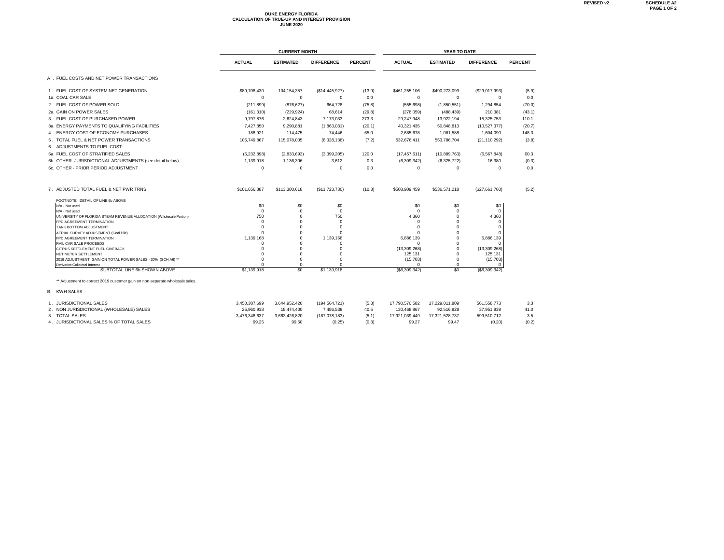# **DUKE ENERGY FLORIDA CALCULATION OF TRUE-UP AND INTEREST PROVISION JUNE 2020**

|                                                                              |                      | <b>CURRENT MONTH</b> |                        | YEAR TO DATE   |                         |                      |                          |                |  |
|------------------------------------------------------------------------------|----------------------|----------------------|------------------------|----------------|-------------------------|----------------------|--------------------------|----------------|--|
|                                                                              | <b>ACTUAL</b>        | <b>ESTIMATED</b>     | <b>DIFFERENCE</b>      | <b>PERCENT</b> | <b>ACTUAL</b>           | <b>ESTIMATED</b>     | <b>DIFFERENCE</b>        | <b>PERCENT</b> |  |
| A. FUEL COSTS AND NET POWER TRANSACTIONS                                     |                      |                      |                        |                |                         |                      |                          |                |  |
| 1. FUEL COST OF SYSTEM NET GENERATION                                        | \$89,708,430         | 104, 154, 357        | (\$14,445,927)         | (13.9)         | \$461,255,106           | \$490,273,099        | (\$29,017,993)           | (5.9)          |  |
| 1a. COAL CAR SALE                                                            | 0                    | $^{\circ}$           | $^{\circ}$             | 0.0            | $\Omega$                | $^{\circ}$           | $\mathbf{0}$             | 0.0            |  |
| 2. FUEL COST OF POWER SOLD                                                   | (211, 899)           | (876, 627)           | 664,728                | (75.8)         | (555, 698)              | (1,850,551)          | 1,294,854                | (70.0)         |  |
| 2a. GAIN ON POWER SALES                                                      | (161, 310)           | (229, 924)           | 68.614                 | (29.8)         | (278, 059)              | (488, 439)           | 210,381                  | (43.1)         |  |
| 3. FUEL COST OF PURCHASED POWER                                              | 9,797,876            | 2,624,843            | 7,173,033              | 273.3          | 29,247,948              | 13,922,194           | 15,325,753               | 110.1          |  |
| 3a. ENERGY PAYMENTS TO QUALIFYING FACILITIES                                 | 7,427,850            | 9,290,881            | (1,863,031)            | (20.1)         | 40,321,435              | 50,848,813           | (10,527,377)             | (20.7)         |  |
| 4. ENERGY COST OF ECONOMY PURCHASES                                          | 188.921              | 114,475              | 74,446                 | 65.0           | 2.685.678               | 1,081,588            | 1,604,090                | 148.3          |  |
| 5. TOTAL FUEL & NET POWER TRANSACTIONS                                       | 106,749,867          | 115,078,005          | (8,328,138)            | (7.2)          | 532,676,411             | 553,786,704          | (21, 110, 292)           | (3.8)          |  |
| 6. ADJUSTMENTS TO FUEL COST:                                                 |                      |                      |                        |                |                         |                      |                          |                |  |
| 6a. FUEL COST OF STRATIFIED SALES                                            | (6, 232, 898)        | (2,833,693)          | (3,399,205)            | 120.0          | (17, 457, 611)          | (10,889,763)         | (6, 567, 848)            | 60.3           |  |
| 6b. OTHER- JURISDICTIONAL ADJUSTMENTS (see detail below)                     | 1,139,918            | 1,136,306            | 3,612                  | 0.3            | (6,309,342)             | (6,325,722)          | 16,380                   | (0.3)          |  |
| 6c. OTHER - PRIOR PERIOD ADJUSTMENT                                          | $\Omega$             | $\Omega$             | $^{\circ}$             | 0.0            | $\Omega$                | $\Omega$             | $\Omega$                 | 0.0            |  |
| 7. ADJUSTED TOTAL FUEL & NET PWR TRNS                                        | \$101,656,887        | \$113,380,618        | (\$11,723,730)         | (10.3)         | \$508,909,459           | \$536.571.218        | (\$27,661,760)           | (5.2)          |  |
| FOOTNOTE DETAIL OF LINE 6b ABOVE<br>N/A - Not used                           | \$0                  | \$0                  | \$0                    |                | \$0                     | \$0                  | \$0                      |                |  |
| N/A - Not used                                                               | $\Omega$             | $\mathbf 0$          | $^{\circ}$             |                | $\Omega$                | $\Omega$             | $^{\circ}$               |                |  |
| UNIVERSITY OF FLORIDA STEAM REVENUE ALLOCATION {Wholesale Portion}           | 750                  | $\mathbf 0$          | 750                    |                | 4,360                   | $\Omega$             | 4,360                    |                |  |
| FPD AGREEMENT TERMINATION                                                    | $\Omega$<br>$\Omega$ | $\Omega$<br>$\Omega$ | $^{\circ}$<br>$\Omega$ |                | $\Omega$<br>$\Omega$    | $\Omega$<br>$\Omega$ | $^{\circ}$<br>$^{\circ}$ |                |  |
| TANK BOTTOM ADJUSTMENT<br>AERIAL SURVEY ADJUSTMENT (Coal Pile)               | $\Omega$             | $\Omega$             | $\Omega$               |                |                         | $\Omega$             | $^{\circ}$               |                |  |
| FPD AGREEMENT TERMINATION                                                    | 1.139.168            | $\Omega$             | 1.139.168              |                | 6.886.139               | $\Omega$             | 6,886,139                |                |  |
| RAIL CAR SALE PROCEEDS                                                       | $\Omega$             | $\Omega$             | $\Omega$               |                | $\Omega$                | $\Omega$             | $\Omega$                 |                |  |
| CITRUS SETTLEMENT FUEL GIVEBACK<br>NET METER SETTLEMENT                      | $\Omega$<br>$\Omega$ | $\Omega$<br>$\Omega$ | $\Omega$<br>$\Omega$   |                | (13,309,268)<br>125,131 | $\Omega$<br>$\Omega$ | (13,309,268)<br>125,131  |                |  |
| 2019 ADJUSTMENT GAIN ON TOTAL POWER SALES - 20% (SCH A6) **                  | $\Omega$             | 0                    | $\Omega$               |                | (15,703)                | $\Omega$             | (15,703)                 |                |  |
| Derivative Collateral Interest                                               | $\Omega$             | $\Omega$             | $\Omega$               |                | $\Omega$                | $\Omega$             | $^{\circ}$               |                |  |
| SUBTOTAL LINE 6b SHOWN ABOVE                                                 | \$1,139,918          | \$0                  | \$1,139,918            |                | (\$6,309,342)           | \$0                  | (\$6,309,342)            |                |  |
| ** Adjustment to correct 2019 customer gain on non-separate wholesale sales. |                      |                      |                        |                |                         |                      |                          |                |  |
| <b>B.</b> KWH SALES                                                          |                      |                      |                        |                |                         |                      |                          |                |  |
| 1. JURISDICTIONAL SALES                                                      | 3,450,387,699        | 3,644,952,420        | (194, 564, 721)        | (5.3)          | 17,790,570,582          | 17,229,011,809       | 561,558,773              | 3.3            |  |
| 2. NON JURISDICTIONAL (WHOLESALE) SALES                                      | 25,960,938           | 18,474,400           | 7,486,538              | 40.5           | 130,468,867             | 92,516,928           | 37,951,939               | 41.0           |  |
| 3. TOTAL SALES                                                               | 3,476,348,637        | 3,663,426,820        | (187,078,183)          | (5.1)          | 17,921,039,449          | 17,321,528,737       | 599,510,712              | 3.5            |  |
| 4. JURISDICTIONAL SALES % OF TOTAL SALES                                     | 99.25                | 99.50                | (0.25)                 | (0.3)          | 99.27                   | 99.47                | (0.20)                   | (0.2)          |  |